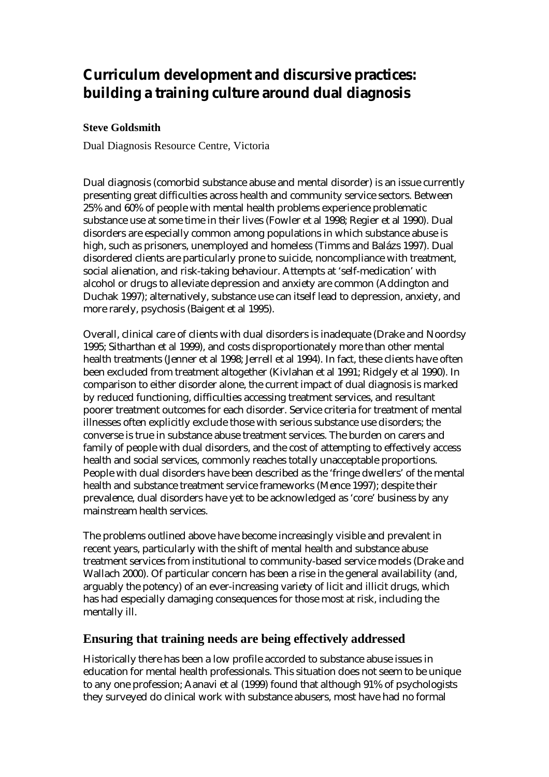# **Curriculum development and discursive practices: building a training culture around dual diagnosis**

### **Steve Goldsmith**

Dual Diagnosis Resource Centre, Victoria

Dual diagnosis (comorbid substance abuse and mental disorder) is an issue currently presenting great difficulties across health and community service sectors. Between 25% and 60% of people with mental health problems experience problematic substance use at some time in their lives (Fowler et al 1998; Regier et al 1990). Dual disorders are especially common among populations in which substance abuse is high, such as prisoners, unemployed and homeless (Timms and Balázs 1997). Dual disordered clients are particularly prone to suicide, noncompliance with treatment, social alienation, and risk-taking behaviour. Attempts at 'self-medication' with alcohol or drugs to alleviate depression and anxiety are common (Addington and Duchak 1997); alternatively, substance use can itself lead to depression, anxiety, and more rarely, psychosis (Baigent et al 1995).

Overall, clinical care of clients with dual disorders is inadequate (Drake and Noordsy 1995; Sitharthan et al 1999), and costs disproportionately more than other mental health treatments (Jenner et al 1998; Jerrell et al 1994). In fact, these clients have often been excluded from treatment altogether (Kivlahan et al 1991; Ridgely et al 1990). In comparison to either disorder alone, the current impact of dual diagnosis is marked by reduced functioning, difficulties accessing treatment services, and resultant poorer treatment outcomes for each disorder. Service criteria for treatment of mental illnesses often explicitly exclude those with serious substance use disorders; the converse is true in substance abuse treatment services. The burden on carers and family of people with dual disorders, and the cost of attempting to effectively access health and social services, commonly reaches totally unacceptable proportions. People with dual disorders have been described as the 'fringe dwellers' of the mental health and substance treatment service frameworks (Mence 1997); despite their prevalence, dual disorders have yet to be acknowledged as 'core' business by any mainstream health services.

The problems outlined above have become increasingly visible and prevalent in recent years, particularly with the shift of mental health and substance abuse treatment services from institutional to community-based service models (Drake and Wallach 2000). Of particular concern has been a rise in the general availability (and, arguably the potency) of an ever-increasing variety of licit and illicit drugs, which has had especially damaging consequences for those most at risk, including the mentally ill.

# **Ensuring that training needs are being effectively addressed**

Historically there has been a low profile accorded to substance abuse issues in education for mental health professionals. This situation does not seem to be unique to any one profession; Aanavi et al (1999) found that although 91% of psychologists they surveyed do clinical work with substance abusers, most have had no formal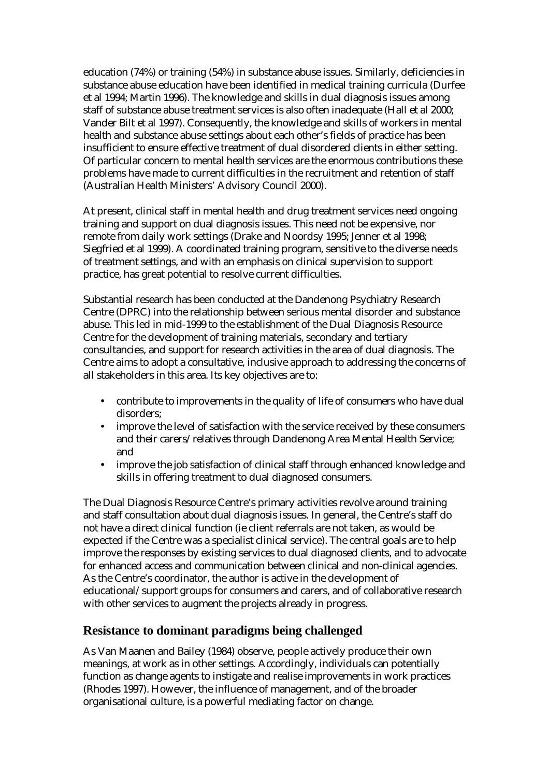education (74%) or training (54%) in substance abuse issues. Similarly, deficiencies in substance abuse education have been identified in medical training curricula (Durfee et al 1994; Martin 1996). The knowledge and skills in dual diagnosis issues among staff of substance abuse treatment services is also often inadequate (Hall et al 2000; Vander Bilt et al 1997). Consequently, the knowledge and skills of workers in mental health and substance abuse settings about each other's fields of practice has been insufficient to ensure effective treatment of dual disordered clients in either setting. Of particular concern to mental health services are the enormous contributions these problems have made to current difficulties in the recruitment and retention of staff (Australian Health Ministers' Advisory Council 2000).

At present, clinical staff in mental health and drug treatment services need ongoing training and support on dual diagnosis issues. This need not be expensive, nor remote from daily work settings (Drake and Noordsy 1995; Jenner et al 1998; Siegfried et al 1999). A coordinated training program, sensitive to the diverse needs of treatment settings, and with an emphasis on clinical supervision to support practice, has great potential to resolve current difficulties.

Substantial research has been conducted at the Dandenong Psychiatry Research Centre (DPRC) into the relationship between serious mental disorder and substance abuse. This led in mid-1999 to the establishment of the Dual Diagnosis Resource Centre for the development of training materials, secondary and tertiary consultancies, and support for research activities in the area of dual diagnosis. The Centre aims to adopt a consultative, inclusive approach to addressing the concerns of all stakeholders in this area. Its key objectives are to:

- contribute to improvements in the quality of life of consumers who have dual disorders;
- improve the level of satisfaction with the service received by these consumers and their carers/relatives through Dandenong Area Mental Health Service; and
- improve the job satisfaction of clinical staff through enhanced knowledge and skills in offering treatment to dual diagnosed consumers.

The Dual Diagnosis Resource Centre's primary activities revolve around training and staff consultation about dual diagnosis issues. In general, the Centre's staff do not have a direct clinical function (ie client referrals are not taken, as would be expected if the Centre was a specialist clinical service). The central goals are to help improve the responses by existing services to dual diagnosed clients, and to advocate for enhanced access and communication between clinical and non-clinical agencies. As the Centre's coordinator, the author is active in the development of educational/support groups for consumers and carers, and of collaborative research with other services to augment the projects already in progress.

# **Resistance to dominant paradigms being challenged**

As Van Maanen and Bailey (1984) observe, people actively produce their own meanings, at work as in other settings. Accordingly, individuals can potentially function as change agents to instigate and realise improvements in work practices (Rhodes 1997). However, the influence of management, and of the broader organisational culture, is a powerful mediating factor on change.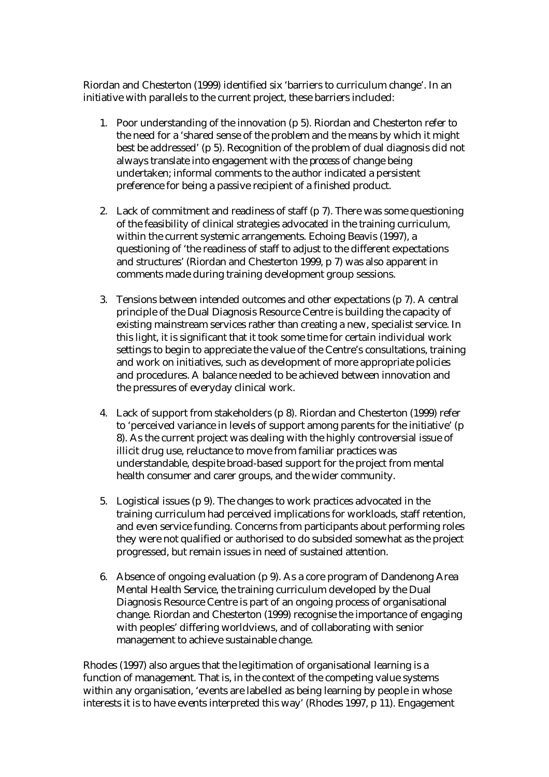Riordan and Chesterton (1999) identified six 'barriers to curriculum change'. In an initiative with parallels to the current project, these barriers included:

- 1. Poor understanding of the innovation (p 5). Riordan and Chesterton refer to the need for a 'shared sense of the problem and the means by which it might best be addressed' (p 5). Recognition of the problem of dual diagnosis did not always translate into engagement with the *process* of change being undertaken; informal comments to the author indicated a persistent preference for being a passive recipient of a finished product.
- 2. Lack of commitment and readiness of staff (p 7). There was some questioning of the feasibility of clinical strategies advocated in the training curriculum, within the current systemic arrangements. Echoing Beavis (1997), a questioning of 'the readiness of staff to adjust to the different expectations and structures' (Riordan and Chesterton 1999, p 7) was also apparent in comments made during training development group sessions.
- 3. Tensions between intended outcomes and other expectations (p 7). A central principle of the Dual Diagnosis Resource Centre is building the capacity of existing mainstream services rather than creating a new, specialist service. In this light, it is significant that it took some time for certain individual work settings to begin to appreciate the value of the Centre's consultations, training and work on initiatives, such as development of more appropriate policies and procedures. A balance needed to be achieved between innovation and the pressures of everyday clinical work.
- 4. Lack of support from stakeholders (p 8). Riordan and Chesterton (1999) refer to 'perceived variance in levels of support among parents for the initiative' (p 8). As the current project was dealing with the highly controversial issue of illicit drug use, reluctance to move from familiar practices was understandable, despite broad-based support for the project from mental health consumer and carer groups, and the wider community.
- 5. Logistical issues (p 9). The changes to work practices advocated in the training curriculum had perceived implications for workloads, staff retention, and even service funding. Concerns from participants about performing roles they were not qualified or authorised to do subsided somewhat as the project progressed, but remain issues in need of sustained attention.
- 6. Absence of ongoing evaluation (p 9). As a core program of Dandenong Area Mental Health Service, the training curriculum developed by the Dual Diagnosis Resource Centre is part of an ongoing process of organisational change. Riordan and Chesterton (1999) recognise the importance of engaging with peoples' differing worldviews, and of collaborating with senior management to achieve sustainable change.

Rhodes (1997) also argues that the legitimation of organisational learning is a function of management. That is, in the context of the competing value systems within any organisation, 'events are labelled as being learning by people in whose interests it is to have events interpreted this way' (Rhodes 1997, p 11). Engagement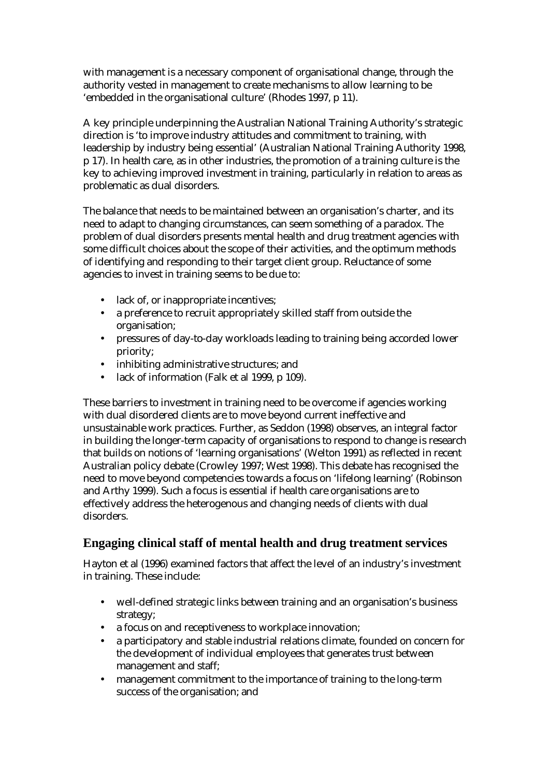with management is a necessary component of organisational change, through the authority vested in management to create mechanisms to allow learning to be 'embedded in the organisational culture' (Rhodes 1997, p 11).

A key principle underpinning the Australian National Training Authority's strategic direction is 'to improve industry attitudes and commitment to training, with leadership by industry being essential' (Australian National Training Authority 1998, p 17). In health care, as in other industries, the promotion of a training culture is the key to achieving improved investment in training, particularly in relation to areas as problematic as dual disorders.

The balance that needs to be maintained between an organisation's charter, and its need to adapt to changing circumstances, can seem something of a paradox. The problem of dual disorders presents mental health and drug treatment agencies with some difficult choices about the scope of their activities, and the optimum methods of identifying and responding to their target client group. Reluctance of some agencies to invest in training seems to be due to:

- lack of, or inappropriate incentives;
- a preference to recruit appropriately skilled staff from outside the organisation;
- pressures of day-to-day workloads leading to training being accorded lower priority;
- inhibiting administrative structures; and
- lack of information (Falk et al 1999, p 109).

These barriers to investment in training need to be overcome if agencies working with dual disordered clients are to move beyond current ineffective and unsustainable work practices. Further, as Seddon (1998) observes, an integral factor in building the longer-term capacity of organisations to respond to change is research that builds on notions of 'learning organisations' (Welton 1991) as reflected in recent Australian policy debate (Crowley 1997; West 1998). This debate has recognised the need to move beyond competencies towards a focus on 'lifelong learning' (Robinson and Arthy 1999). Such a focus is essential if health care organisations are to effectively address the heterogenous and changing needs of clients with dual disorders.

# **Engaging clinical staff of mental health and drug treatment services**

Hayton et al (1996) examined factors that affect the level of an industry's investment in training. These include:

- well-defined strategic links between training and an organisation's business strategy;
- a focus on and receptiveness to workplace innovation;
- a participatory and stable industrial relations climate, founded on concern for the development of individual employees that generates trust between management and staff;
- management commitment to the importance of training to the long-term success of the organisation; and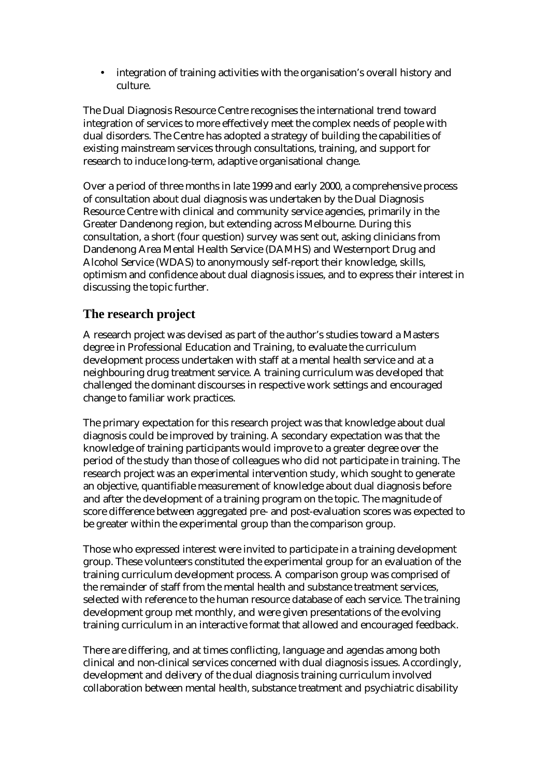integration of training activities with the organisation's overall history and culture.

The Dual Diagnosis Resource Centre recognises the international trend toward integration of services to more effectively meet the complex needs of people with dual disorders. The Centre has adopted a strategy of building the capabilities of existing mainstream services through consultations, training, and support for research to induce long-term, adaptive organisational change.

Over a period of three months in late 1999 and early 2000, a comprehensive process of consultation about dual diagnosis was undertaken by the Dual Diagnosis Resource Centre with clinical and community service agencies, primarily in the Greater Dandenong region, but extending across Melbourne. During this consultation, a short (four question) survey was sent out, asking clinicians from Dandenong Area Mental Health Service (DAMHS) and Westernport Drug and Alcohol Service (WDAS) to anonymously self-report their knowledge, skills, optimism and confidence about dual diagnosis issues, and to express their interest in discussing the topic further.

# **The research project**

A research project was devised as part of the author's studies toward a Masters degree in Professional Education and Training, to evaluate the curriculum development process undertaken with staff at a mental health service and at a neighbouring drug treatment service. A training curriculum was developed that challenged the dominant discourses in respective work settings and encouraged change to familiar work practices.

The primary expectation for this research project was that knowledge about dual diagnosis could be improved by training. A secondary expectation was that the knowledge of training participants would improve to a greater degree over the period of the study than those of colleagues who did not participate in training. The research project was an experimental intervention study, which sought to generate an objective, quantifiable measurement of knowledge about dual diagnosis before and after the development of a training program on the topic. The magnitude of score difference between aggregated pre- and post-evaluation scores was expected to be greater within the experimental group than the comparison group.

Those who expressed interest were invited to participate in a training development group. These volunteers constituted the experimental group for an evaluation of the training curriculum development process. A comparison group was comprised of the remainder of staff from the mental health and substance treatment services, selected with reference to the human resource database of each service. The training development group met monthly, and were given presentations of the evolving training curriculum in an interactive format that allowed and encouraged feedback.

There are differing, and at times conflicting, language and agendas among both clinical and non-clinical services concerned with dual diagnosis issues. Accordingly, development and delivery of the dual diagnosis training curriculum involved collaboration between mental health, substance treatment and psychiatric disability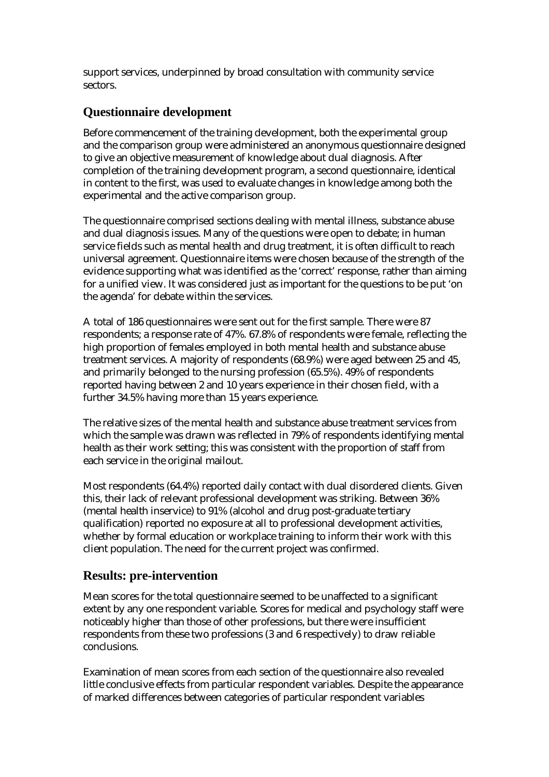support services, underpinned by broad consultation with community service sectors.

# **Questionnaire development**

Before commencement of the training development, both the experimental group and the comparison group were administered an anonymous questionnaire designed to give an objective measurement of knowledge about dual diagnosis. After completion of the training development program, a second questionnaire, identical in content to the first, was used to evaluate changes in knowledge among both the experimental and the active comparison group.

The questionnaire comprised sections dealing with mental illness, substance abuse and dual diagnosis issues. Many of the questions were open to debate; in human service fields such as mental health and drug treatment, it is often difficult to reach universal agreement. Questionnaire items were chosen because of the strength of the evidence supporting what was identified as the 'correct' response, rather than aiming for a unified view. It was considered just as important for the questions to be put 'on the agenda' for debate within the services.

A total of 186 questionnaires were sent out for the first sample. There were 87 respondents; a response rate of 47%. 67.8% of respondents were female, reflecting the high proportion of females employed in both mental health and substance abuse treatment services. A majority of respondents (68.9%) were aged between 25 and 45, and primarily belonged to the nursing profession (65.5%). 49% of respondents reported having between 2 and 10 years experience in their chosen field, with a further 34.5% having more than 15 years experience.

The relative sizes of the mental health and substance abuse treatment services from which the sample was drawn was reflected in 79% of respondents identifying mental health as their work setting; this was consistent with the proportion of staff from each service in the original mailout.

Most respondents (64.4%) reported daily contact with dual disordered clients. Given this, their lack of relevant professional development was striking. Between 36% (mental health inservice) to 91% (alcohol and drug post-graduate tertiary qualification) reported no exposure at all to professional development activities, whether by formal education or workplace training to inform their work with this client population. The need for the current project was confirmed.

# **Results: pre-intervention**

Mean scores for the total questionnaire seemed to be unaffected to a significant extent by any one respondent variable. Scores for medical and psychology staff were noticeably higher than those of other professions, but there were insufficient respondents from these two professions (3 and 6 respectively) to draw reliable conclusions.

Examination of mean scores from each section of the questionnaire also revealed little conclusive effects from particular respondent variables. Despite the appearance of marked differences between categories of particular respondent variables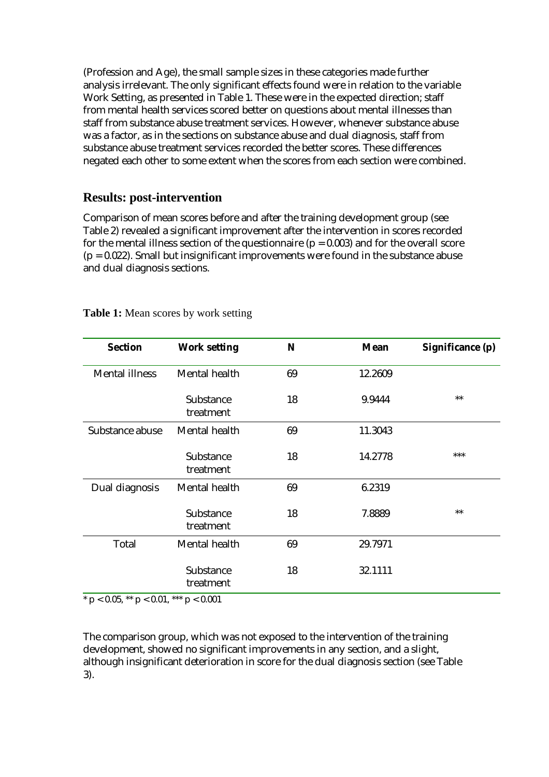(Profession and Age), the small sample sizes in these categories made further analysis irrelevant. The only significant effects found were in relation to the variable Work Setting, as presented in Table 1. These were in the expected direction; staff from mental health services scored better on questions about mental illnesses than staff from substance abuse treatment services. However, whenever substance abuse was a factor, as in the sections on substance abuse and dual diagnosis, staff from substance abuse treatment services recorded the better scores. These differences negated each other to some extent when the scores from each section were combined.

### **Results: post-intervention**

Comparison of mean scores before and after the training development group (see Table 2) revealed a significant improvement after the intervention in scores recorded for the mental illness section of the questionnaire ( $p = 0.003$ ) and for the overall score  $(p = 0.022)$ . Small but insignificant improvements were found in the substance abuse and dual diagnosis sections.

| <b>Section</b>        | <b>Work setting</b>    | N  | <b>Mean</b> | Significance (p) |
|-----------------------|------------------------|----|-------------|------------------|
| <b>Mental illness</b> | Mental health          | 69 | 12.2609     |                  |
|                       | Substance<br>treatment | 18 | 9.9444      | $**$             |
| Substance abuse       | Mental health          | 69 | 11.3043     |                  |
|                       | Substance<br>treatment | 18 | 14.2778     | ***              |
| Dual diagnosis        | Mental health          | 69 | 6.2319      |                  |
|                       | Substance<br>treatment | 18 | 7.8889      | $**$             |
| Total                 | Mental health          | 69 | 29.7971     |                  |
|                       | Substance<br>treatment | 18 | 32.1111     |                  |

**Table 1:** Mean scores by work setting

 $*$  p < 0.05,  $**$  p < 0.01,  $***$  p < 0.001

The comparison group, which was not exposed to the intervention of the training development, showed no significant improvements in any section, and a slight, although insignificant deterioration in score for the dual diagnosis section (see Table 3).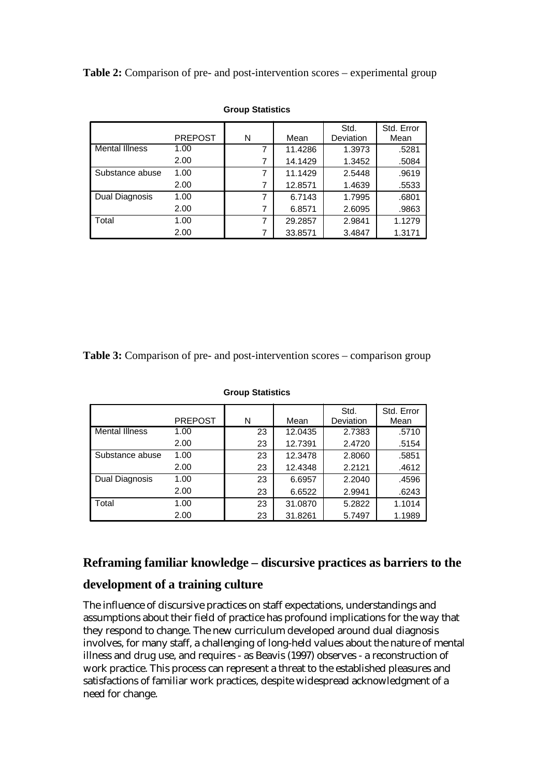**Table 2:** Comparison of pre- and post-intervention scores – experimental group

|                       | <b>PREPOST</b> | N | Mean    | Std.<br>Deviation | Std. Error<br>Mean |
|-----------------------|----------------|---|---------|-------------------|--------------------|
| <b>Mental Illness</b> | 1.00           |   | 11.4286 | 1.3973            | .5281              |
|                       | 2.00           |   | 14.1429 | 1.3452            | .5084              |
| Substance abuse       | 1.00           |   | 11.1429 | 2.5448            | .9619              |
|                       | 2.00           | 7 | 12.8571 | 1.4639            | .5533              |
| Dual Diagnosis        | 1.00           | 7 | 6.7143  | 1.7995            | .6801              |
|                       | 2.00           |   | 6.8571  | 2.6095            | .9863              |
| Total                 | 1.00           | 7 | 29.2857 | 2.9841            | 1.1279             |
|                       | 2.00           | 7 | 33.8571 | 3.4847            | 1.3171             |

#### **Group Statistics**

**Table 3:** Comparison of pre- and post-intervention scores – comparison group

|                 |                |    |         | Std.      | Std. Error |
|-----------------|----------------|----|---------|-----------|------------|
|                 | <b>PREPOST</b> | N  | Mean    | Deviation | Mean       |
| Mental Illness  | 1.00           | 23 | 12.0435 | 2.7383    | .5710      |
|                 | 2.00           | 23 | 12.7391 | 2.4720    | .5154      |
| Substance abuse | 1.00           | 23 | 12.3478 | 2.8060    | .5851      |
|                 | 2.00           | 23 | 12.4348 | 2.2121    | .4612      |
| Dual Diagnosis  | 1.00           | 23 | 6.6957  | 2.2040    | .4596      |
|                 | 2.00           | 23 | 6.6522  | 2.9941    | .6243      |
| Total           | 1.00           | 23 | 31.0870 | 5.2822    | 1.1014     |
|                 | 2.00           | 23 | 31.8261 | 5.7497    | 1.1989     |

**Group Statistics**

### **Reframing familiar knowledge – discursive practices as barriers to the**

### **development of a training culture**

The influence of discursive practices on staff expectations, understandings and assumptions about their field of practice has profound implications for the way that they respond to change. The new curriculum developed around dual diagnosis involves, for many staff, a challenging of long-held values about the nature of mental illness and drug use, and requires - as Beavis (1997) observes - a reconstruction of work practice. This process can represent a threat to the established pleasures and satisfactions of familiar work practices, despite widespread acknowledgment of a need for change.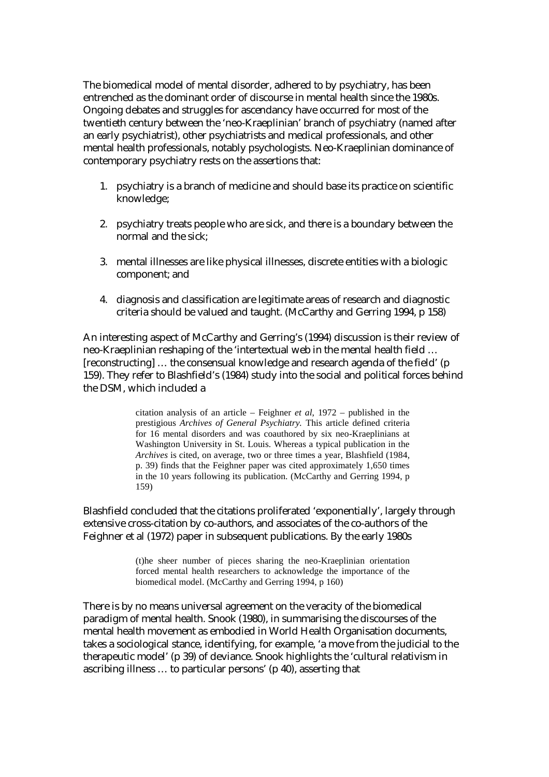The biomedical model of mental disorder, adhered to by psychiatry, has been entrenched as the dominant order of discourse in mental health since the 1980s. Ongoing debates and struggles for ascendancy have occurred for most of the twentieth century between the 'neo-Kraeplinian' branch of psychiatry (named after an early psychiatrist), other psychiatrists and medical professionals, and other mental health professionals, notably psychologists. Neo-Kraeplinian dominance of contemporary psychiatry rests on the assertions that:

- 1. psychiatry is a branch of medicine and should base its practice on scientific knowledge;
- 2. psychiatry treats people who are sick, and there is a boundary between the normal and the sick;
- 3. mental illnesses are like physical illnesses, discrete entities with a biologic component; and
- 4. diagnosis and classification are legitimate areas of research and diagnostic criteria should be valued and taught. (McCarthy and Gerring 1994, p 158)

An interesting aspect of McCarthy and Gerring's (1994) discussion is their review of neo-Kraeplinian reshaping of the 'intertextual web in the mental health field … [reconstructing] ... the consensual knowledge and research agenda of the field' (p 159). They refer to Blashfield's (1984) study into the social and political forces behind the DSM, which included a

> citation analysis of an article – Feighner *et al*, 1972 – published in the prestigious *Archives of General Psychiatry.* This article defined criteria for 16 mental disorders and was coauthored by six neo-Kraeplinians at Washington University in St. Louis. Whereas a typical publication in the *Archives* is cited, on average, two or three times a year, Blashfield (1984, p. 39) finds that the Feighner paper was cited approximately 1,650 times in the 10 years following its publication. (McCarthy and Gerring 1994, p 159)

Blashfield concluded that the citations proliferated 'exponentially', largely through extensive cross-citation by co-authors, and associates of the co-authors of the Feighner et al (1972) paper in subsequent publications. By the early 1980s

> (t)he sheer number of pieces sharing the neo-Kraeplinian orientation forced mental health researchers to acknowledge the importance of the biomedical model. (McCarthy and Gerring 1994, p 160)

There is by no means universal agreement on the veracity of the biomedical paradigm of mental health. Snook (1980), in summarising the discourses of the mental health movement as embodied in World Health Organisation documents, takes a sociological stance, identifying, for example, 'a move from the judicial to the therapeutic model' (p 39) of deviance. Snook highlights the 'cultural relativism in ascribing illness … to particular persons' (p 40), asserting that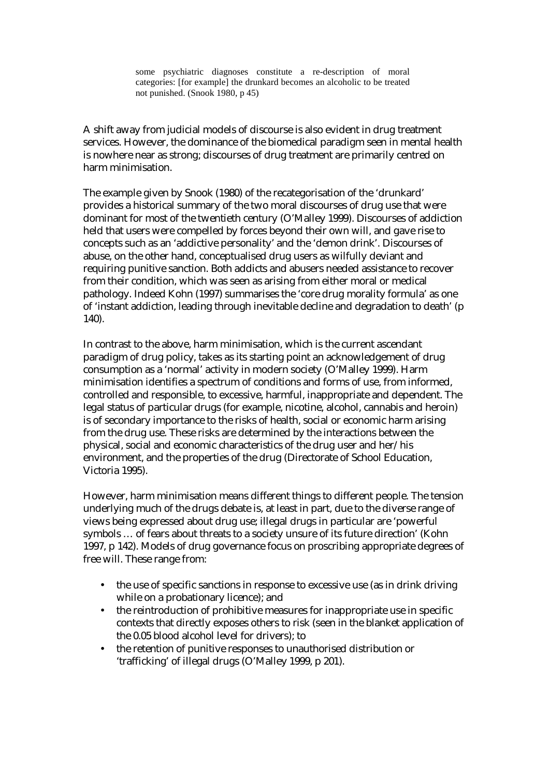some psychiatric diagnoses constitute a re-description of moral categories: [for example] the drunkard becomes an alcoholic to be treated not punished. (Snook 1980, p 45)

A shift away from judicial models of discourse is also evident in drug treatment services. However, the dominance of the biomedical paradigm seen in mental health is nowhere near as strong; discourses of drug treatment are primarily centred on harm minimisation.

The example given by Snook (1980) of the recategorisation of the 'drunkard' provides a historical summary of the two moral discourses of drug use that were dominant for most of the twentieth century (O'Malley 1999). Discourses of addiction held that users were compelled by forces beyond their own will, and gave rise to concepts such as an 'addictive personality' and the 'demon drink'. Discourses of abuse, on the other hand, conceptualised drug users as wilfully deviant and requiring punitive sanction. Both addicts and abusers needed assistance to recover from their condition, which was seen as arising from either moral or medical pathology. Indeed Kohn (1997) summarises the 'core drug morality formula' as one of 'instant addiction, leading through inevitable decline and degradation to death' (p 140).

In contrast to the above, harm minimisation, which is the current ascendant paradigm of drug policy, takes as its starting point an acknowledgement of drug consumption as a 'normal' activity in modern society (O'Malley 1999). Harm minimisation identifies a spectrum of conditions and forms of use, from informed, controlled and responsible, to excessive, harmful, inappropriate and dependent. The legal status of particular drugs (for example, nicotine, alcohol, cannabis and heroin) is of secondary importance to the risks of health, social or economic harm arising from the drug use. These risks are determined by the interactions between the physical, social and economic characteristics of the drug user and her/his environment, and the properties of the drug (Directorate of School Education, Victoria 1995).

However, harm minimisation means different things to different people. The tension underlying much of the drugs debate is, at least in part, due to the diverse range of views being expressed about drug use; illegal drugs in particular are 'powerful symbols … of fears about threats to a society unsure of its future direction' (Kohn 1997, p 142). Models of drug governance focus on proscribing appropriate degrees of free will. These range from:

- the use of specific sanctions in response to excessive use (as in drink driving while on a probationary licence); and
- the reintroduction of prohibitive measures for inappropriate use in specific contexts that directly exposes others to risk (seen in the blanket application of the 0.05 blood alcohol level for drivers); to
- the retention of punitive responses to unauthorised distribution or 'trafficking' of illegal drugs (O'Malley 1999, p 201).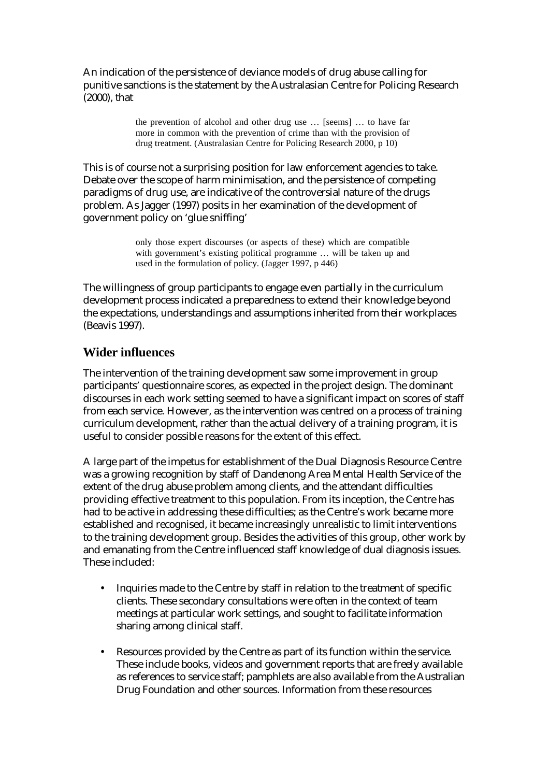An indication of the persistence of deviance models of drug abuse calling for punitive sanctions is the statement by the Australasian Centre for Policing Research (2000), that

> the prevention of alcohol and other drug use … [seems] … to have far more in common with the prevention of crime than with the provision of drug treatment. (Australasian Centre for Policing Research 2000, p 10)

This is of course not a surprising position for law enforcement agencies to take. Debate over the scope of harm minimisation, and the persistence of competing paradigms of drug use, are indicative of the controversial nature of the drugs problem. As Jagger (1997) posits in her examination of the development of government policy on 'glue sniffing'

> only those expert discourses (or aspects of these) which are compatible with government's existing political programme … will be taken up and used in the formulation of policy. (Jagger 1997, p 446)

The willingness of group participants to engage even partially in the curriculum development process indicated a preparedness to extend their knowledge beyond the expectations, understandings and assumptions inherited from their workplaces (Beavis 1997).

# **Wider influences**

The intervention of the training development saw some improvement in group participants' questionnaire scores, as expected in the project design. The dominant discourses in each work setting seemed to have a significant impact on scores of staff from each service. However, as the intervention was centred on a process of training curriculum development, rather than the actual delivery of a training program, it is useful to consider possible reasons for the extent of this effect.

A large part of the impetus for establishment of the Dual Diagnosis Resource Centre was a growing recognition by staff of Dandenong Area Mental Health Service of the extent of the drug abuse problem among clients, and the attendant difficulties providing effective treatment to this population. From its inception, the Centre has had to be active in addressing these difficulties; as the Centre's work became more established and recognised, it became increasingly unrealistic to limit interventions to the training development group. Besides the activities of this group, other work by and emanating from the Centre influenced staff knowledge of dual diagnosis issues. These included:

- Inquiries made to the Centre by staff in relation to the treatment of specific clients. These secondary consultations were often in the context of team meetings at particular work settings, and sought to facilitate information sharing among clinical staff.
- Resources provided by the Centre as part of its function within the service. These include books, videos and government reports that are freely available as references to service staff; pamphlets are also available from the Australian Drug Foundation and other sources. Information from these resources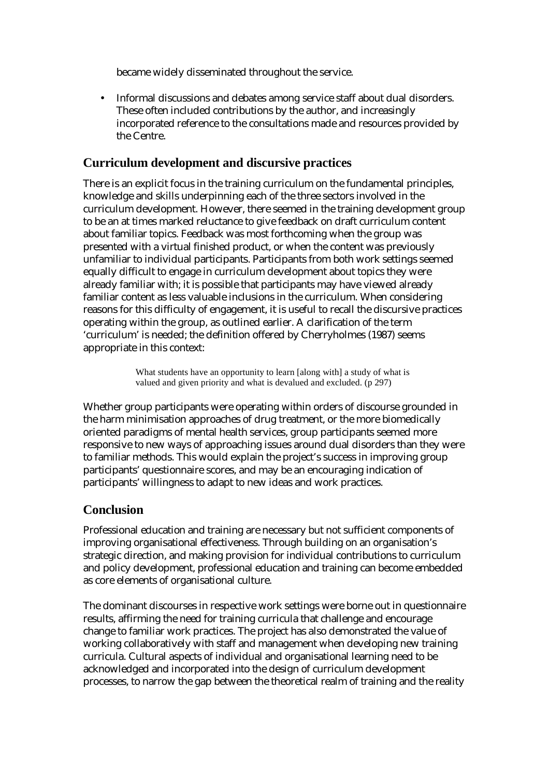became widely disseminated throughout the service.

• Informal discussions and debates among service staff about dual disorders. These often included contributions by the author, and increasingly incorporated reference to the consultations made and resources provided by the Centre.

# **Curriculum development and discursive practices**

There is an explicit focus in the training curriculum on the fundamental principles, knowledge and skills underpinning each of the three sectors involved in the curriculum development. However, there seemed in the training development group to be an at times marked reluctance to give feedback on draft curriculum content about familiar topics. Feedback was most forthcoming when the group was presented with a virtual finished product, or when the content was previously unfamiliar to individual participants. Participants from both work settings seemed equally difficult to engage in curriculum development about topics they were already familiar with; it is possible that participants may have viewed already familiar content as less valuable inclusions in the curriculum. When considering reasons for this difficulty of engagement, it is useful to recall the discursive practices operating within the group, as outlined earlier. A clarification of the term 'curriculum' is needed; the definition offered by Cherryholmes (1987) seems appropriate in this context:

> What students have an opportunity to learn [along with] a study of what is valued and given priority and what is devalued and excluded. (p 297)

Whether group participants were operating within orders of discourse grounded in the harm minimisation approaches of drug treatment, or the more biomedically oriented paradigms of mental health services, group participants seemed more responsive to new ways of approaching issues around dual disorders than they were to familiar methods. This would explain the project's success in improving group participants' questionnaire scores, and may be an encouraging indication of participants' willingness to adapt to new ideas and work practices.

# **Conclusion**

Professional education and training are necessary but not sufficient components of improving organisational effectiveness. Through building on an organisation's strategic direction, and making provision for individual contributions to curriculum and policy development, professional education and training can become embedded as core elements of organisational culture.

The dominant discourses in respective work settings were borne out in questionnaire results, affirming the need for training curricula that challenge and encourage change to familiar work practices. The project has also demonstrated the value of working collaboratively with staff and management when developing new training curricula. Cultural aspects of individual and organisational learning need to be acknowledged and incorporated into the design of curriculum development processes, to narrow the gap between the theoretical realm of training and the reality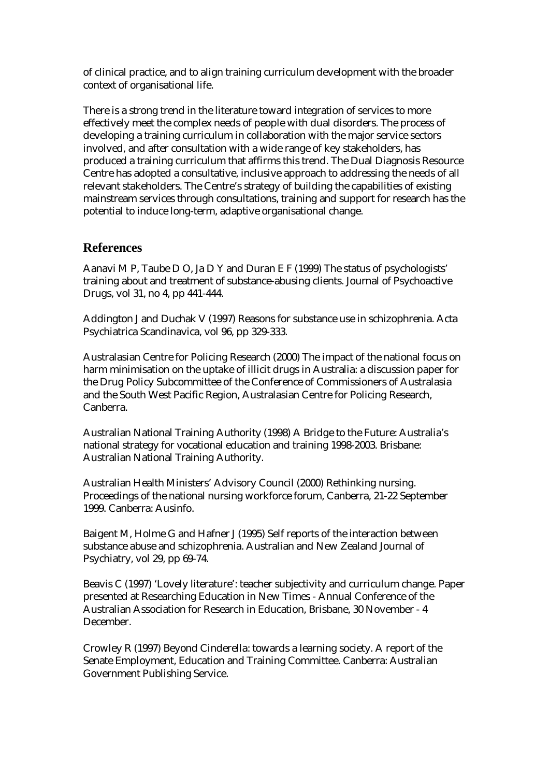of clinical practice, and to align training curriculum development with the broader context of organisational life.

There is a strong trend in the literature toward integration of services to more effectively meet the complex needs of people with dual disorders. The process of developing a training curriculum in collaboration with the major service sectors involved, and after consultation with a wide range of key stakeholders, has produced a training curriculum that affirms this trend. The Dual Diagnosis Resource Centre has adopted a consultative, inclusive approach to addressing the needs of all relevant stakeholders. The Centre's strategy of building the capabilities of existing mainstream services through consultations, training and support for research has the potential to induce long-term, adaptive organisational change.

### **References**

Aanavi M P, Taube D O, Ja D Y and Duran E F (1999) The status of psychologists' training about and treatment of substance-abusing clients. Journal of Psychoactive Drugs, vol 31, no 4, pp 441-444.

Addington J and Duchak V (1997) Reasons for substance use in schizophrenia. Acta Psychiatrica Scandinavica, vol 96, pp 329-333.

Australasian Centre for Policing Research (2000) The impact of the national focus on harm minimisation on the uptake of illicit drugs in Australia: a discussion paper for the Drug Policy Subcommittee of the Conference of Commissioners of Australasia and the South West Pacific Region, Australasian Centre for Policing Research, Canberra.

Australian National Training Authority (1998) A Bridge to the Future: Australia's national strategy for vocational education and training 1998-2003. Brisbane: Australian National Training Authority.

Australian Health Ministers' Advisory Council (2000) Rethinking nursing. Proceedings of the national nursing workforce forum, Canberra, 21-22 September 1999. Canberra: Ausinfo.

Baigent M, Holme G and Hafner J (1995) Self reports of the interaction between substance abuse and schizophrenia. Australian and New Zealand Journal of Psychiatry, vol 29, pp 69-74.

Beavis C (1997) 'Lovely literature': teacher subjectivity and curriculum change. Paper presented at Researching Education in New Times - Annual Conference of the Australian Association for Research in Education, Brisbane, 30 November - 4 December.

Crowley R (1997) Beyond Cinderella: towards a learning society. A report of the Senate Employment, Education and Training Committee. Canberra: Australian Government Publishing Service.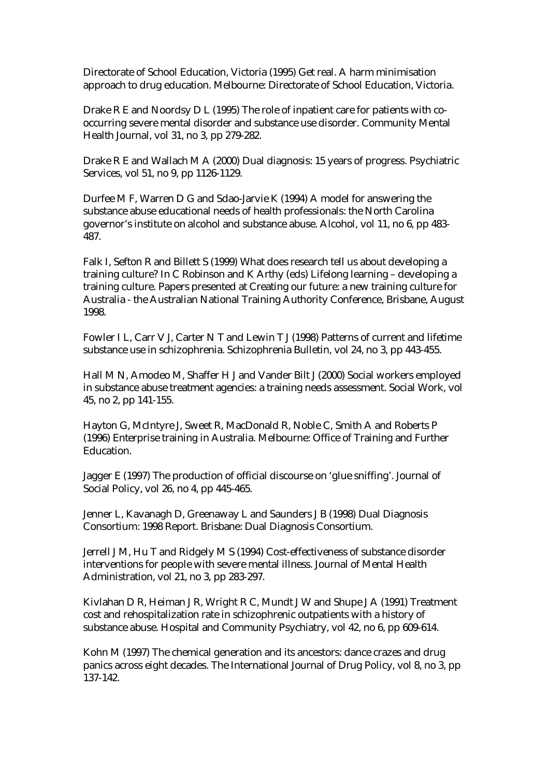Directorate of School Education, Victoria (1995) Get real. A harm minimisation approach to drug education. Melbourne: Directorate of School Education, Victoria.

Drake R E and Noordsy D L (1995) The role of inpatient care for patients with cooccurring severe mental disorder and substance use disorder. Community Mental Health Journal, vol 31, no 3, pp 279-282.

Drake R E and Wallach M A (2000) Dual diagnosis: 15 years of progress. Psychiatric Services, vol 51, no 9, pp 1126-1129.

Durfee M F, Warren D G and Sdao-Jarvie K (1994) A model for answering the substance abuse educational needs of health professionals: the North Carolina governor's institute on alcohol and substance abuse. Alcohol, vol 11, no 6, pp 483- 487.

Falk I, Sefton R and Billett S (1999) What does research tell us about developing a training culture? In C Robinson and K Arthy (eds) Lifelong learning – developing a training culture. Papers presented at Creating our future: a new training culture for Australia - the Australian National Training Authority Conference, Brisbane, August 1998.

Fowler I L, Carr V J, Carter N T and Lewin T J (1998) Patterns of current and lifetime substance use in schizophrenia. Schizophrenia Bulletin, vol 24, no 3, pp 443-455.

Hall M N, Amodeo M, Shaffer H J and Vander Bilt J (2000) Social workers employed in substance abuse treatment agencies: a training needs assessment. Social Work, vol 45, no 2, pp 141-155.

Hayton G, McIntyre J, Sweet R, MacDonald R, Noble C, Smith A and Roberts P (1996) Enterprise training in Australia. Melbourne: Office of Training and Further Education.

Jagger E (1997) The production of official discourse on 'glue sniffing'. Journal of Social Policy, vol 26, no 4, pp 445-465.

Jenner L, Kavanagh D, Greenaway L and Saunders J B (1998) Dual Diagnosis Consortium: 1998 Report. Brisbane: Dual Diagnosis Consortium.

Jerrell J M, Hu T and Ridgely M S (1994) Cost-effectiveness of substance disorder interventions for people with severe mental illness. Journal of Mental Health Administration, vol 21, no 3, pp 283-297.

Kivlahan D R, Heiman J R, Wright R C, Mundt J W and Shupe J A (1991) Treatment cost and rehospitalization rate in schizophrenic outpatients with a history of substance abuse. Hospital and Community Psychiatry, vol 42, no 6, pp 609-614.

Kohn M (1997) The chemical generation and its ancestors: dance crazes and drug panics across eight decades. The International Journal of Drug Policy, vol 8, no 3, pp 137-142.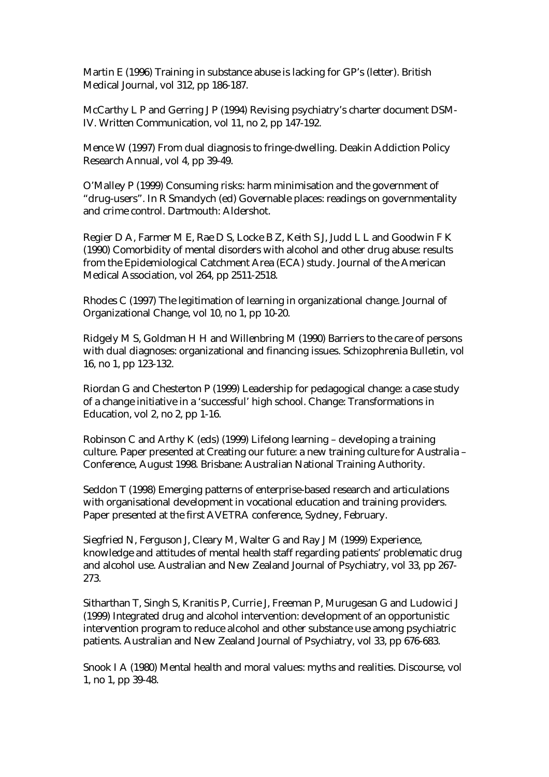Martin E (1996) Training in substance abuse is lacking for GP's (letter). British Medical Journal, vol 312, pp 186-187.

McCarthy L P and Gerring J P (1994) Revising psychiatry's charter document DSM-IV. Written Communication, vol 11, no 2, pp 147-192.

Mence W (1997) From dual diagnosis to fringe-dwelling. Deakin Addiction Policy Research Annual, vol 4, pp 39-49.

O'Malley P (1999) Consuming risks: harm minimisation and the government of "drug-users". In R Smandych (ed) Governable places: readings on governmentality and crime control. Dartmouth: Aldershot.

Regier D A, Farmer M E, Rae D S, Locke B Z, Keith S J, Judd L L and Goodwin F K (1990) Comorbidity of mental disorders with alcohol and other drug abuse: results from the Epidemiological Catchment Area (ECA) study. Journal of the American Medical Association, vol 264, pp 2511-2518.

Rhodes C (1997) The legitimation of learning in organizational change. Journal of Organizational Change, vol 10, no 1, pp 10-20.

Ridgely M S, Goldman H H and Willenbring M (1990) Barriers to the care of persons with dual diagnoses: organizational and financing issues. Schizophrenia Bulletin, vol 16, no 1, pp 123-132.

Riordan G and Chesterton P (1999) Leadership for pedagogical change: a case study of a change initiative in a 'successful' high school. Change: Transformations in Education, vol 2, no 2, pp 1-16.

Robinson C and Arthy K (eds) (1999) Lifelong learning – developing a training culture. Paper presented at Creating our future: a new training culture for Australia – Conference, August 1998. Brisbane: Australian National Training Authority.

Seddon T (1998) Emerging patterns of enterprise-based research and articulations with organisational development in vocational education and training providers. Paper presented at the first AVETRA conference, Sydney, February.

Siegfried N, Ferguson J, Cleary M, Walter G and Ray J M (1999) Experience, knowledge and attitudes of mental health staff regarding patients' problematic drug and alcohol use. Australian and New Zealand Journal of Psychiatry, vol 33, pp 267- 273.

Sitharthan T, Singh S, Kranitis P, Currie J, Freeman P, Murugesan G and Ludowici J (1999) Integrated drug and alcohol intervention: development of an opportunistic intervention program to reduce alcohol and other substance use among psychiatric patients. Australian and New Zealand Journal of Psychiatry, vol 33, pp 676-683.

Snook I A (1980) Mental health and moral values: myths and realities. Discourse, vol 1, no 1, pp 39-48.